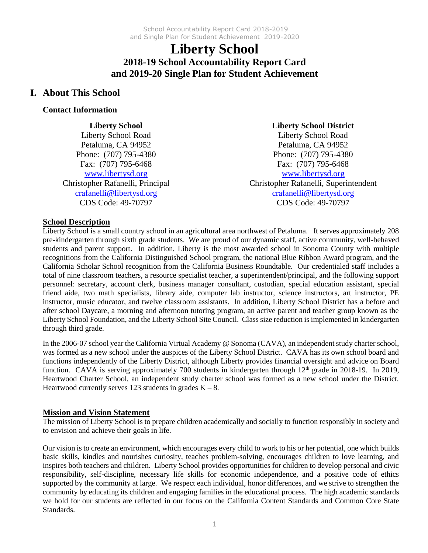# **Liberty School 2018-19 School Accountability Report Card and 2019-20 Single Plan for Student Achievement**

### **I. About This School**

#### **Contact Information**

**Liberty School** Liberty School Road Petaluma, CA 94952 Phone: (707) 795-4380 Fax: (707) 795-6468 [www.libertysd.org](http://www.libertysd.org/) Christopher Rafanelli, Principal [crafanelli@libertysd.org](mailto:crafanelli@libertysd.org) CDS Code: 49-70797

### **Liberty School District**

Liberty School Road Petaluma, CA 94952 Phone: (707) 795-4380 Fax: (707) 795-6468 [www.libertysd.org](http://www.libertysd.org/) Christopher Rafanelli, Superintendent [crafanelli@libertysd.org](mailto:crafanelli@libertysd.org) CDS Code: 49-70797

#### **School Description**

Liberty School is a small country school in an agricultural area northwest of Petaluma. It serves approximately 208 pre-kindergarten through sixth grade students. We are proud of our dynamic staff, active community, well-behaved students and parent support. In addition, Liberty is the most awarded school in Sonoma County with multiple recognitions from the California Distinguished School program, the national Blue Ribbon Award program, and the California Scholar School recognition from the California Business Roundtable. Our credentialed staff includes a total of nine classroom teachers, a resource specialist teacher, a superintendent/principal, and the following support personnel: secretary, account clerk, business manager consultant, custodian, special education assistant, special friend aide, two math specialists, library aide, computer lab instructor, science instructors, art instructor, PE instructor, music educator, and twelve classroom assistants. In addition, Liberty School District has a before and after school Daycare, a morning and afternoon tutoring program, an active parent and teacher group known as the Liberty School Foundation, and the Liberty School Site Council. Class size reduction is implemented in kindergarten through third grade.

In the 2006-07 school year the California Virtual Academy @ Sonoma (CAVA), an independent study charter school, was formed as a new school under the auspices of the Liberty School District. CAVA has its own school board and functions independently of the Liberty District, although Liberty provides financial oversight and advice on Board function. CAVA is serving approximately 700 students in kindergarten through 12<sup>th</sup> grade in 2018-19. In 2019, Heartwood Charter School, an independent study charter school was formed as a new school under the District. Heartwood currently serves 123 students in grades  $K - 8$ .

#### **Mission and Vision Statement**

The mission of Liberty School is to prepare children academically and socially to function responsibly in society and to envision and achieve their goals in life.

Our vision is to create an environment, which encourages every child to work to his or her potential, one which builds basic skills, kindles and nourishes curiosity, teaches problem-solving, encourages children to love learning, and inspires both teachers and children. Liberty School provides opportunities for children to develop personal and civic responsibility, self-discipline, necessary life skills for economic independence, and a positive code of ethics supported by the community at large. We respect each individual, honor differences, and we strive to strengthen the community by educating its children and engaging families in the educational process. The high academic standards we hold for our students are reflected in our focus on the California Content Standards and Common Core State Standards.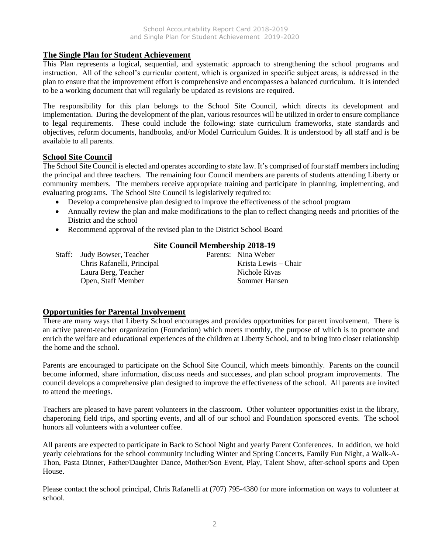#### **The Single Plan for Student Achievement**

This Plan represents a logical, sequential, and systematic approach to strengthening the school programs and instruction. All of the school's curricular content, which is organized in specific subject areas, is addressed in the plan to ensure that the improvement effort is comprehensive and encompasses a balanced curriculum. It is intended to be a working document that will regularly be updated as revisions are required.

The responsibility for this plan belongs to the School Site Council, which directs its development and implementation. During the development of the plan, various resources will be utilized in order to ensure compliance to legal requirements. These could include the following: state curriculum frameworks, state standards and objectives, reform documents, handbooks, and/or Model Curriculum Guides. It is understood by all staff and is be available to all parents.

#### **School Site Council**

The School Site Council is elected and operates according to state law. It's comprised of four staff members including the principal and three teachers. The remaining four Council members are parents of students attending Liberty or community members. The members receive appropriate training and participate in planning, implementing, and evaluating programs. The School Site Council is legislatively required to:

- Develop a comprehensive plan designed to improve the effectiveness of the school program
- Annually review the plan and make modifications to the plan to reflect changing needs and priorities of the District and the school
- Recommend approval of the revised plan to the District School Board

#### **Site Council Membership 2018-19**

Staff: Judy Bowser, Teacher Parents: Nina Weber Chris Rafanelli, Principal Krista Lewis – Chair Laura Berg, Teacher Nichole Rivas Open, Staff Member Sommer Hansen

#### **Opportunities for Parental Involvement**

There are many ways that Liberty School encourages and provides opportunities for parent involvement. There is an active parent-teacher organization (Foundation) which meets monthly, the purpose of which is to promote and enrich the welfare and educational experiences of the children at Liberty School, and to bring into closer relationship the home and the school.

Parents are encouraged to participate on the School Site Council, which meets bimonthly. Parents on the council become informed, share information, discuss needs and successes, and plan school program improvements. The council develops a comprehensive plan designed to improve the effectiveness of the school. All parents are invited to attend the meetings.

Teachers are pleased to have parent volunteers in the classroom. Other volunteer opportunities exist in the library, chaperoning field trips, and sporting events, and all of our school and Foundation sponsored events. The school honors all volunteers with a volunteer coffee.

All parents are expected to participate in Back to School Night and yearly Parent Conferences. In addition, we hold yearly celebrations for the school community including Winter and Spring Concerts, Family Fun Night, a Walk-A-Thon, Pasta Dinner, Father/Daughter Dance, Mother/Son Event, Play, Talent Show, after-school sports and Open House.

Please contact the school principal, Chris Rafanelli at (707) 795-4380 for more information on ways to volunteer at school.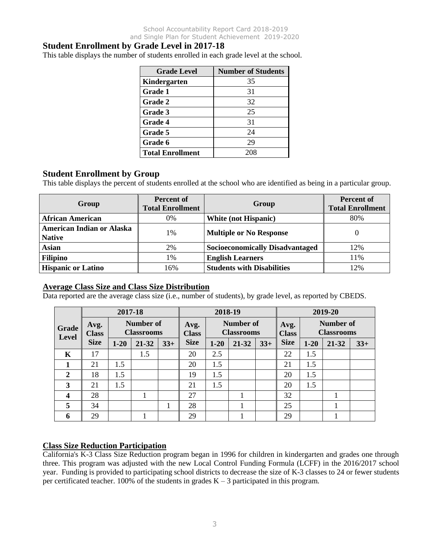### **Student Enrollment by Grade Level in 2017-18**

This table displays the number of students enrolled in each grade level at the school.

| <b>Grade Level</b>      | <b>Number of Students</b> |
|-------------------------|---------------------------|
| Kindergarten            | 35                        |
| Grade 1                 | 31                        |
| Grade 2                 | 32                        |
| Grade 3                 | 25                        |
| Grade 4                 | 31                        |
| Grade 5                 | 24                        |
| Grade 6                 | 29                        |
| <b>Total Enrollment</b> | 208                       |

#### **Student Enrollment by Group**

This table displays the percent of students enrolled at the school who are identified as being in a particular group.

| Group                                             | <b>Percent of</b><br><b>Total Enrollment</b> | Group                                  | <b>Percent of</b><br><b>Total Enrollment</b> |
|---------------------------------------------------|----------------------------------------------|----------------------------------------|----------------------------------------------|
| <b>African American</b>                           | 0%                                           | <b>White (not Hispanic)</b>            | 80%                                          |
| <b>American Indian or Alaska</b><br><b>Native</b> | 1%                                           | <b>Multiple or No Response</b>         | $\theta$                                     |
| <b>Asian</b>                                      | 2%                                           | <b>Socioeconomically Disadvantaged</b> | 12%                                          |
| <b>Filipino</b>                                   | 1%                                           | <b>English Learners</b>                | 11%                                          |
| <b>Hispanic or Latino</b>                         | 16%                                          | <b>Students with Disabilities</b>      | 12%                                          |

#### **Average Class Size and Class Size Distribution**

Data reported are the average class size (i.e., number of students), by grade level, as reported by CBEDS.

|                         | 2017-18<br>2018-19                                            |          |                      |       |                                       |          |                      |       | 2019-20                        |          |       |       |
|-------------------------|---------------------------------------------------------------|----------|----------------------|-------|---------------------------------------|----------|----------------------|-------|--------------------------------|----------|-------|-------|
| Grade<br><b>Level</b>   | <b>Number of</b><br>Avg.<br><b>Classrooms</b><br><b>Class</b> |          | Avg.<br><b>Class</b> |       | <b>Number of</b><br><b>Classrooms</b> |          | Avg.<br><b>Class</b> |       | Number of<br><b>Classrooms</b> |          |       |       |
|                         | <b>Size</b>                                                   | $1 - 20$ | 21-32                | $33+$ | <b>Size</b>                           | $1 - 20$ | 21-32                | $33+$ | <b>Size</b>                    | $1 - 20$ | 21-32 | $33+$ |
| K                       | 17                                                            |          | 1.5                  |       | 20                                    | 2.5      |                      |       | 22                             | 1.5      |       |       |
|                         | 21                                                            | 1.5      |                      |       | 20                                    | 1.5      |                      |       | 21                             | 1.5      |       |       |
| 2                       | 18                                                            | 1.5      |                      |       | 19                                    | 1.5      |                      |       | 20                             | 1.5      |       |       |
| 3                       | 21                                                            | 1.5      |                      |       | 21                                    | 1.5      |                      |       | 20                             | 1.5      |       |       |
| $\overline{\mathbf{4}}$ | 28                                                            |          |                      |       | 27                                    |          |                      |       | 32                             |          |       |       |
| 5                       | 34                                                            |          |                      | 1     | 28                                    |          |                      |       | 25                             |          |       |       |
| 6                       | 29                                                            |          |                      |       | 29                                    |          |                      |       | 29                             |          |       |       |

### **Class Size Reduction Participation**

California's K-3 Class Size Reduction program began in 1996 for children in kindergarten and grades one through three. This program was adjusted with the new Local Control Funding Formula (LCFF) in the 2016/2017 school year. Funding is provided to participating school districts to decrease the size of K-3 classes to 24 or fewer students per certificated teacher. 100% of the students in grades  $K - 3$  participated in this program.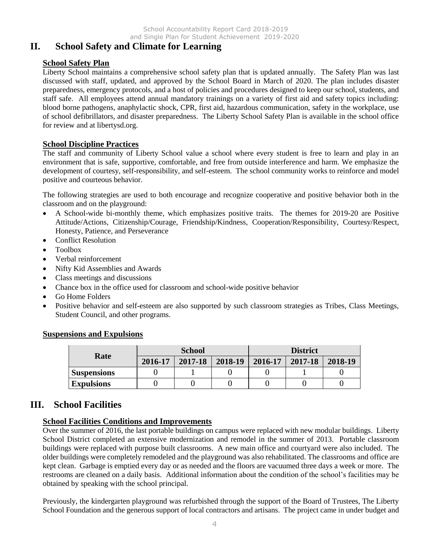School Accountability Report Card 2018-2019 and Single Plan for Student Achievement 2019-2020

## **II. School Safety and Climate for Learning**

#### **School Safety Plan**

Liberty School maintains a comprehensive school safety plan that is updated annually. The Safety Plan was last discussed with staff, updated, and approved by the School Board in March of 2020. The plan includes disaster preparedness, emergency protocols, and a host of policies and procedures designed to keep our school, students, and staff safe. All employees attend annual mandatory trainings on a variety of first aid and safety topics including: blood borne pathogens, anaphylactic shock, CPR, first aid, hazardous communication, safety in the workplace, use of school defibrillators, and disaster preparedness. The Liberty School Safety Plan is available in the school office for review and at libertysd.org.

#### **School Discipline Practices**

The staff and community of Liberty School value a school where every student is free to learn and play in an environment that is safe, supportive, comfortable, and free from outside interference and harm. We emphasize the development of courtesy, self-responsibility, and self-esteem. The school community works to reinforce and model positive and courteous behavior.

The following strategies are used to both encourage and recognize cooperative and positive behavior both in the classroom and on the playground:

- A School-wide bi-monthly theme, which emphasizes positive traits. The themes for 2019-20 are Positive Attitude/Actions, Citizenship/Courage, Friendship/Kindness, Cooperation/Responsibility, Courtesy/Respect, Honesty, Patience, and Perseverance
- Conflict Resolution
- Toolbox
- Verbal reinforcement
- Nifty Kid Assemblies and Awards
- Class meetings and discussions
- Chance box in the office used for classroom and school-wide positive behavior
- Go Home Folders
- Positive behavior and self-esteem are also supported by such classroom strategies as Tribes, Class Meetings, Student Council, and other programs.

#### **Suspensions and Expulsions**

| Rate               |         | <b>School</b> |         | <b>District</b> |         |         |
|--------------------|---------|---------------|---------|-----------------|---------|---------|
|                    | 2016-17 | 2017-18       | 2018-19 | 2016-17         | 2017-18 | 2018-19 |
| <b>Suspensions</b> |         |               |         |                 |         |         |
| <b>Expulsions</b>  |         |               |         |                 |         |         |

## **III. School Facilities**

#### **School Facilities Conditions and Improvements**

Over the summer of 2016, the last portable buildings on campus were replaced with new modular buildings. Liberty School District completed an extensive modernization and remodel in the summer of 2013. Portable classroom buildings were replaced with purpose built classrooms. A new main office and courtyard were also included. The older buildings were completely remodeled and the playground was also rehabilitated. The classrooms and office are kept clean. Garbage is emptied every day or as needed and the floors are vacuumed three days a week or more. The restrooms are cleaned on a daily basis. Additional information about the condition of the school's facilities may be obtained by speaking with the school principal.

Previously, the kindergarten playground was refurbished through the support of the Board of Trustees, The Liberty School Foundation and the generous support of local contractors and artisans. The project came in under budget and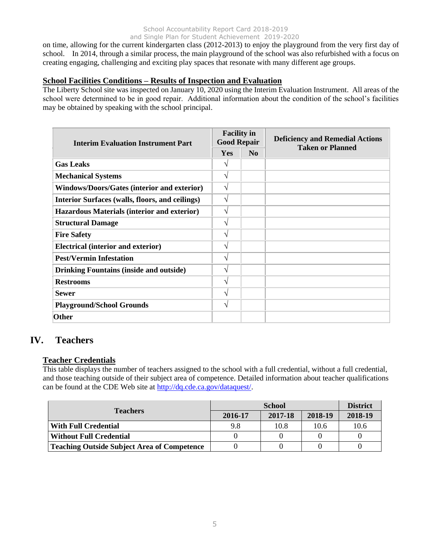#### School Accountability Report Card 2018-2019 and Single Plan for Student Achievement 2019-2020

on time, allowing for the current kindergarten class (2012-2013) to enjoy the playground from the very first day of school. In 2014, through a similar process, the main playground of the school was also refurbished with a focus on creating engaging, challenging and exciting play spaces that resonate with many different age groups.

#### **School Facilities Conditions – Results of Inspection and Evaluation**

The Liberty School site was inspected on January 10, 2020 using the Interim Evaluation Instrument. All areas of the school were determined to be in good repair. Additional information about the condition of the school's facilities may be obtained by speaking with the school principal.

| <b>Interim Evaluation Instrument Part</b>          | <b>Facility in</b><br><b>Good Repair</b> |                | <b>Deficiency and Remedial Actions</b> |  |
|----------------------------------------------------|------------------------------------------|----------------|----------------------------------------|--|
|                                                    | <b>Yes</b>                               | N <sub>0</sub> | <b>Taken or Planned</b>                |  |
| <b>Gas Leaks</b>                                   |                                          |                |                                        |  |
| <b>Mechanical Systems</b>                          | V                                        |                |                                        |  |
| <b>Windows/Doors/Gates (interior and exterior)</b> | V                                        |                |                                        |  |
| Interior Surfaces (walls, floors, and ceilings)    | V                                        |                |                                        |  |
| Hazardous Materials (interior and exterior)        | V                                        |                |                                        |  |
| <b>Structural Damage</b>                           | V                                        |                |                                        |  |
| <b>Fire Safety</b>                                 | V                                        |                |                                        |  |
| <b>Electrical (interior and exterior)</b>          | V                                        |                |                                        |  |
| <b>Pest/Vermin Infestation</b>                     | V                                        |                |                                        |  |
| <b>Drinking Fountains (inside and outside)</b>     | V                                        |                |                                        |  |
| <b>Restrooms</b>                                   | V                                        |                |                                        |  |
| <b>Sewer</b>                                       | V                                        |                |                                        |  |
| <b>Playground/School Grounds</b>                   | V                                        |                |                                        |  |
| <b>Other</b>                                       |                                          |                |                                        |  |

## **IV. Teachers**

### **Teacher Credentials**

This table displays the number of teachers assigned to the school with a full credential, without a full credential, and those teaching outside of their subject area of competence. Detailed information about teacher qualifications can be found at the CDE Web site at [http://dq.cde.ca.gov/dataquest/.](http://dq.cde.ca.gov/dataquest/)

| <b>Teachers</b>                                    |         | <b>District</b> |         |         |
|----------------------------------------------------|---------|-----------------|---------|---------|
|                                                    | 2016-17 | 2017-18         | 2018-19 | 2018-19 |
| <b>With Full Credential</b>                        | 9.8     | 10.8            | 10.6    | 10.6    |
| <b>Without Full Credential</b>                     |         |                 |         |         |
| <b>Teaching Outside Subject Area of Competence</b> |         |                 |         |         |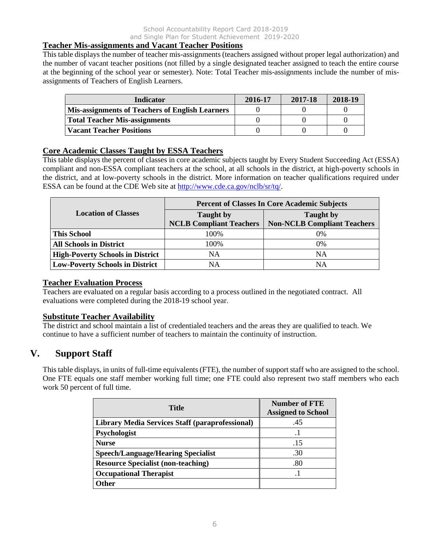#### **Teacher Mis-assignments and Vacant Teacher Positions**

This table displays the number of teacher mis-assignments (teachers assigned without proper legal authorization) and the number of vacant teacher positions (not filled by a single designated teacher assigned to teach the entire course at the beginning of the school year or semester). Note: Total Teacher mis-assignments include the number of misassignments of Teachers of English Learners.

| <b>Indicator</b>                                       | 2016-17 | 2017-18 | 2018-19 |
|--------------------------------------------------------|---------|---------|---------|
| <b>Mis-assignments of Teachers of English Learners</b> |         |         |         |
| Total Teacher Mis-assignments                          |         |         |         |
| <b>Vacant Teacher Positions</b>                        |         |         |         |

#### **Core Academic Classes Taught by ESSA Teachers**

This table displays the percent of classes in core academic subjects taught by Every Student Succeeding Act (ESSA) compliant and non-ESSA compliant teachers at the school, at all schools in the district, at high-poverty schools in the district, and at low-poverty schools in the district. More information on teacher qualifications required under ESSA can be found at the CDE Web site at [http://www.cde.ca.gov/nclb/sr/tq/.](http://www.cde.ca.gov/nclb/sr/tq/)

|                                         | <b>Percent of Classes In Core Academic Subjects</b> |                                                        |  |  |
|-----------------------------------------|-----------------------------------------------------|--------------------------------------------------------|--|--|
| <b>Location of Classes</b>              | <b>Taught</b> by<br><b>NCLB Compliant Teachers</b>  | <b>Taught</b> by<br><b>Non-NCLB Compliant Teachers</b> |  |  |
| <b>This School</b>                      | 100\%                                               | 0%                                                     |  |  |
| <b>All Schools in District</b>          | 100%                                                | 0%                                                     |  |  |
| <b>High-Poverty Schools in District</b> | NA                                                  | NA                                                     |  |  |
| <b>Low-Poverty Schools in District</b>  | NΑ                                                  | NA                                                     |  |  |

#### **Teacher Evaluation Process**

Teachers are evaluated on a regular basis according to a process outlined in the negotiated contract. All evaluations were completed during the 2018-19 school year.

#### **Substitute Teacher Availability**

The district and school maintain a list of credentialed teachers and the areas they are qualified to teach. We continue to have a sufficient number of teachers to maintain the continuity of instruction.

## **V. Support Staff**

This table displays, in units of full-time equivalents (FTE), the number of support staff who are assigned to the school. One FTE equals one staff member working full time; one FTE could also represent two staff members who each work 50 percent of full time.

| <b>Title</b>                                           | <b>Number of FTE</b><br><b>Assigned to School</b> |
|--------------------------------------------------------|---------------------------------------------------|
| <b>Library Media Services Staff (paraprofessional)</b> | .45                                               |
| Psychologist                                           |                                                   |
| <b>Nurse</b>                                           | .15                                               |
| <b>Speech/Language/Hearing Specialist</b>              | .30                                               |
| <b>Resource Specialist (non-teaching)</b>              | .80                                               |
| <b>Occupational Therapist</b>                          |                                                   |
| <b>Other</b>                                           |                                                   |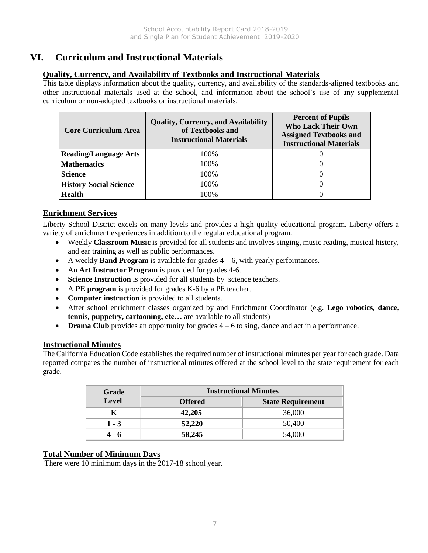## **VI. Curriculum and Instructional Materials**

#### **Quality, Currency, and Availability of Textbooks and Instructional Materials**

This table displays information about the quality, currency, and availability of the standards-aligned textbooks and other instructional materials used at the school, and information about the school's use of any supplemental curriculum or non-adopted textbooks or instructional materials.

| <b>Core Curriculum Area</b>   | <b>Quality, Currency, and Availability</b><br>of Textbooks and<br><b>Instructional Materials</b> | <b>Percent of Pupils</b><br><b>Who Lack Their Own</b><br><b>Assigned Textbooks and</b><br><b>Instructional Materials</b> |
|-------------------------------|--------------------------------------------------------------------------------------------------|--------------------------------------------------------------------------------------------------------------------------|
| <b>Reading/Language Arts</b>  | 100%                                                                                             |                                                                                                                          |
| <b>Mathematics</b>            | 100%                                                                                             |                                                                                                                          |
| <b>Science</b>                | 100%                                                                                             |                                                                                                                          |
| <b>History-Social Science</b> | 100%                                                                                             |                                                                                                                          |
| <b>Health</b>                 | 100%                                                                                             |                                                                                                                          |

### **Enrichment Services**

Liberty School District excels on many levels and provides a high quality educational program. Liberty offers a variety of enrichment experiences in addition to the regular educational program.

- Weekly **Classroom Music** is provided for all students and involves singing, music reading, musical history, and ear training as well as public performances.
- A weekly **Band Program** is available for grades 4 6, with yearly performances.
- An **Art Instructor Program** is provided for grades 4-6.
- **Science Instruction** is provided for all students by science teachers.
- A **PE program** is provided for grades K-6 by a PE teacher.
- **Computer instruction** is provided to all students.
- After school enrichment classes organized by and Enrichment Coordinator (e.g. **Lego robotics, dance, tennis, puppetry, cartooning, etc…** are available to all students)
- **Drama Club** provides an opportunity for grades  $4 6$  to sing, dance and act in a performance.

#### **Instructional Minutes**

The California Education Code establishes the required number of instructional minutes per year for each grade. Data reported compares the number of instructional minutes offered at the school level to the state requirement for each grade.

| Grade                          | <b>Instructional Minutes</b> |                          |  |  |
|--------------------------------|------------------------------|--------------------------|--|--|
| <b>Level</b><br><b>Offered</b> |                              | <b>State Requirement</b> |  |  |
|                                | 42,205                       | 36,000                   |  |  |
| $1 - 3$                        | 52,220                       | 50,400                   |  |  |
| 4 - 6                          | 58,245                       | 54,000                   |  |  |

### **Total Number of Minimum Days**

There were 10 minimum days in the 2017-18 school year.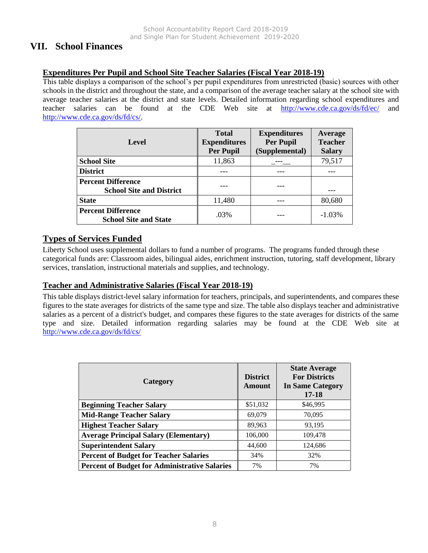## **VII. School Finances**

### **Expenditures Per Pupil and School Site Teacher Salaries (Fiscal Year 2018-19)**

This table displays a comparison of the school's per pupil expenditures from unrestricted (basic) sources with other schools in the district and throughout the state, and a comparison of the average teacher salary at the school site with average teacher salaries at the district and state levels. Detailed information regarding school expenditures and teacher salaries can be found at the CDE Web site at <http://www.cde.ca.gov/ds/fd/ec/> and [http://www.cde.ca.gov/ds/fd/cs/.](http://www.cde.ca.gov/ds/fd/cs/)

| Level                                                        | <b>Total</b><br><b>Expenditures</b><br><b>Per Pupil</b> | <b>Expenditures</b><br><b>Per Pupil</b><br>(Supplemental) | Average<br><b>Teacher</b><br><b>Salary</b> |
|--------------------------------------------------------------|---------------------------------------------------------|-----------------------------------------------------------|--------------------------------------------|
| <b>School Site</b>                                           | 11,863                                                  |                                                           | 79,517                                     |
| <b>District</b>                                              |                                                         |                                                           |                                            |
| <b>Percent Difference</b><br><b>School Site and District</b> |                                                         |                                                           |                                            |
| <b>State</b>                                                 | 11,480                                                  |                                                           | 80,680                                     |
| <b>Percent Difference</b><br><b>School Site and State</b>    | .03%                                                    |                                                           | $-1.03%$                                   |

### **Types of Services Funded**

Liberty School uses supplemental dollars to fund a number of programs. The programs funded through these categorical funds are: Classroom aides, bilingual aides, enrichment instruction, tutoring, staff development, library services, translation, instructional materials and supplies, and technology.

#### **Teacher and Administrative Salaries (Fiscal Year 2018-19)**

This table displays district-level salary information for teachers, principals, and superintendents, and compares these figures to the state averages for districts of the same type and size. The table also displays teacher and administrative salaries as a percent of a district's budget, and compares these figures to the state averages for districts of the same type and size. Detailed information regarding salaries may be found at the CDE Web site at <http://www.cde.ca.gov/ds/fd/cs/>

| Category                                             | <b>District</b><br>Amount | <b>State Average</b><br><b>For Districts</b><br><b>In Same Category</b><br>$17 - 18$ |
|------------------------------------------------------|---------------------------|--------------------------------------------------------------------------------------|
| <b>Beginning Teacher Salary</b>                      | \$51,032                  | \$46,995                                                                             |
| <b>Mid-Range Teacher Salary</b>                      | 69,079                    | 70,095                                                                               |
| <b>Highest Teacher Salary</b>                        | 89,963                    | 93,195                                                                               |
| <b>Average Principal Salary (Elementary)</b>         | 106,000                   | 109,478                                                                              |
| <b>Superintendent Salary</b>                         | 44,600                    | 124,686                                                                              |
| <b>Percent of Budget for Teacher Salaries</b>        | 34%                       | 32%                                                                                  |
| <b>Percent of Budget for Administrative Salaries</b> | 7%                        | 7%                                                                                   |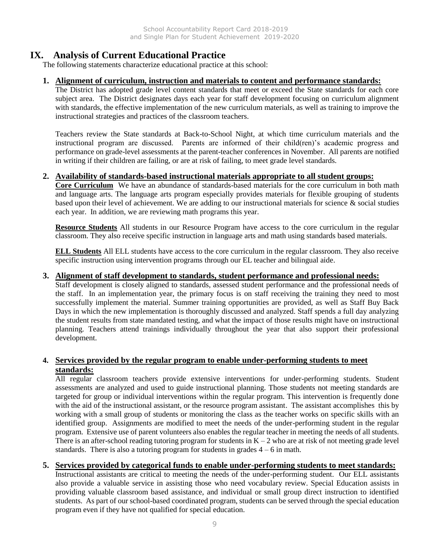## **IX. Analysis of Current Educational Practice**

The following statements characterize educational practice at this school:

#### **1. Alignment of curriculum, instruction and materials to content and performance standards:**

The District has adopted grade level content standards that meet or exceed the State standards for each core subject area. The District designates days each year for staff development focusing on curriculum alignment with standards, the effective implementation of the new curriculum materials, as well as training to improve the instructional strategies and practices of the classroom teachers.

Teachers review the State standards at Back-to-School Night, at which time curriculum materials and the instructional program are discussed. Parents are informed of their child(ren)'s academic progress and performance on grade-level assessments at the parent-teacher conferences in November. All parents are notified in writing if their children are failing, or are at risk of failing, to meet grade level standards.

#### **2. Availability of standards-based instructional materials appropriate to all student groups:**

**Core Curriculum** We have an abundance of standards-based materials for the core curriculum in both math and language arts. The language arts program especially provides materials for flexible grouping of students based upon their level of achievement. We are adding to our instructional materials for science & social studies each year. In addition, we are reviewing math programs this year.

**Resource Students** All students in our Resource Program have access to the core curriculum in the regular classroom. They also receive specific instruction in language arts and math using standards based materials.

**ELL Students** All ELL students have access to the core curriculum in the regular classroom. They also receive specific instruction using intervention programs through our EL teacher and bilingual aide.

#### **3. Alignment of staff development to standards, student performance and professional needs:**

Staff development is closely aligned to standards, assessed student performance and the professional needs of the staff. In an implementation year, the primary focus is on staff receiving the training they need to most successfully implement the material. Summer training opportunities are provided, as well as Staff Buy Back Days in which the new implementation is thoroughly discussed and analyzed. Staff spends a full day analyzing the student results from state mandated testing, and what the impact of those results might have on instructional planning. Teachers attend trainings individually throughout the year that also support their professional development.

#### **4. Services provided by the regular program to enable under-performing students to meet standards:**

All regular classroom teachers provide extensive interventions for under-performing students. Student assessments are analyzed and used to guide instructional planning. Those students not meeting standards are targeted for group or individual interventions within the regular program. This intervention is frequently done with the aid of the instructional assistant, or the resource program assistant. The assistant accomplishes this by working with a small group of students or monitoring the class as the teacher works on specific skills with an identified group. Assignments are modified to meet the needs of the under-performing student in the regular program. Extensive use of parent volunteers also enables the regular teacher in meeting the needs of all students. There is an after-school reading tutoring program for students in  $K - 2$  who are at risk of not meeting grade level standards. There is also a tutoring program for students in grades  $4 - 6$  in math.

#### **5. Services provided by categorical funds to enable under-performing students to meet standards:**

Instructional assistants are critical to meeting the needs of the under-performing student. Our ELL assistants also provide a valuable service in assisting those who need vocabulary review. Special Education assists in providing valuable classroom based assistance, and individual or small group direct instruction to identified students. As part of our school-based coordinated program, students can be served through the special education program even if they have not qualified for special education.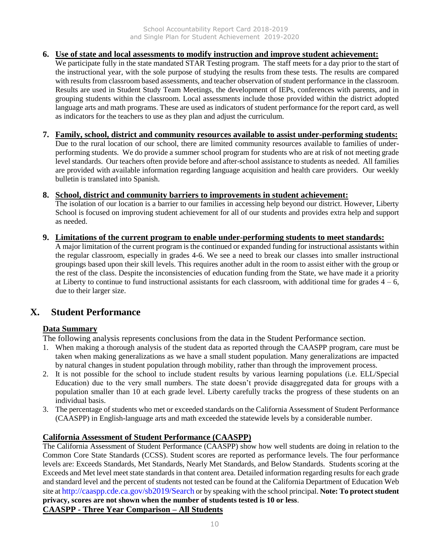#### **6. Use of state and local assessments to modify instruction and improve student achievement:**

We participate fully in the state mandated STAR Testing program. The staff meets for a day prior to the start of the instructional year, with the sole purpose of studying the results from these tests. The results are compared with results from classroom based assessments, and teacher observation of student performance in the classroom. Results are used in Student Study Team Meetings, the development of IEPs, conferences with parents, and in grouping students within the classroom. Local assessments include those provided within the district adopted language arts and math programs. These are used as indicators of student performance for the report card, as well as indicators for the teachers to use as they plan and adjust the curriculum.

#### **7. Family, school, district and community resources available to assist under-performing students:**

Due to the rural location of our school, there are limited community resources available to families of underperforming students. We do provide a summer school program for students who are at risk of not meeting grade level standards. Our teachers often provide before and after-school assistance to students as needed. All families are provided with available information regarding language acquisition and health care providers. Our weekly bulletin is translated into Spanish.

#### **8. School, district and community barriers to improvements in student achievement:**

The isolation of our location is a barrier to our families in accessing help beyond our district. However, Liberty School is focused on improving student achievement for all of our students and provides extra help and support as needed.

#### **9. Limitations of the current program to enable under-performing students to meet standards:**

A major limitation of the current program is the continued or expanded funding for instructional assistants within the regular classroom, especially in grades 4-6. We see a need to break our classes into smaller instructional groupings based upon their skill levels. This requires another adult in the room to assist either with the group or the rest of the class. Despite the inconsistencies of education funding from the State, we have made it a priority at Liberty to continue to fund instructional assistants for each classroom, with additional time for grades  $4 - 6$ , due to their larger size.

## **X. Student Performance**

#### **Data Summary**

The following analysis represents conclusions from the data in the Student Performance section.

- 1. When making a thorough analysis of the student data as reported through the CAASPP program, care must be taken when making generalizations as we have a small student population. Many generalizations are impacted by natural changes in student population through mobility, rather than through the improvement process.
- 2. It is not possible for the school to include student results by various learning populations (i.e. ELL/Special Education) due to the very small numbers. The state doesn't provide disaggregated data for groups with a population smaller than 10 at each grade level. Liberty carefully tracks the progress of these students on an individual basis.
- 3. The percentage of students who met or exceeded standards on the California Assessment of Student Performance (CAASPP) in English-language arts and math exceeded the statewide levels by a considerable number.

#### **California Assessment of Student Performance (CAASPP)**

The California Assessment of Student Performance (CAASPP) show how well students are doing in relation to the Common Core State Standards (CCSS). Student scores are reported as performance levels. The four performance levels are: Exceeds Standards, Met Standards, Nearly Met Standards, and Below Standards. Students scoring at the Exceeds and Met level meet state standards in that content area. Detailed information regarding results for each grade and standard level and the percent of students not tested can be found at the California Department of Education Web site at http://caaspp.cde.ca.gov/sb2019/Search or by speaking with the school principal. **Note: To protect student privacy, scores are not shown when the number of students tested is 10 or less**. **CAASPP - Three Year Comparison – All Students**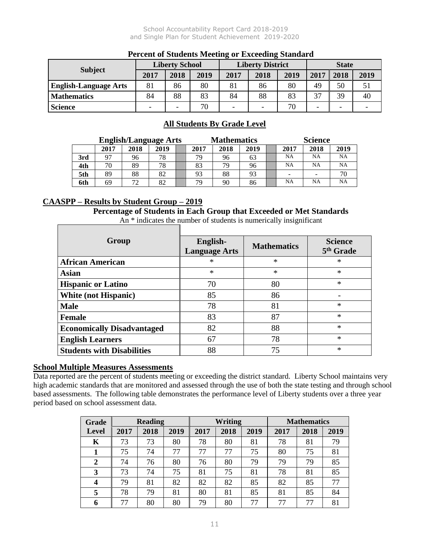School Accountability Report Card 2018-2019 and Single Plan for Student Achievement 2019-2020

| I el cent of Diudents Mecting of Eacceding Diunum u |                       |      |      |                          |      |      |                          |                          |      |
|-----------------------------------------------------|-----------------------|------|------|--------------------------|------|------|--------------------------|--------------------------|------|
| <b>Subject</b>                                      | <b>Liberty School</b> |      |      | <b>Liberty District</b>  |      |      | <b>State</b>             |                          |      |
|                                                     | 2017                  | 2018 | 2019 | 2017                     | 2018 | 2019 | 2017                     | 2018                     | 2019 |
| <b>English-Language Arts</b>                        | 81                    | 86   | 80   | 81                       | 86   | 80   | 49                       | 50                       |      |
| <b>Mathematics</b>                                  | 84                    | 88   | 83   | 84                       | 88   | 83   | 37                       | 39                       | 40   |
| <b>Science</b>                                      |                       | -    | 70   | $\overline{\phantom{0}}$ |      |      | $\overline{\phantom{0}}$ | $\overline{\phantom{a}}$ |      |

### **Percent of Students Meeting or Exceeding Standard**

### **All Students By Grade Level**

|     | <b>English/Language Arts</b> |      |      | <b>Mathematics</b> |      |      | <b>Science</b> |  |           |           |           |
|-----|------------------------------|------|------|--------------------|------|------|----------------|--|-----------|-----------|-----------|
|     | 2017                         | 2018 | 2019 |                    | 2017 | 2018 | 2019           |  | 2017      | 2018      | 2019      |
| 3rd | 97                           | 96   | 78   |                    | 79.  | 96   | 63             |  | <b>NA</b> | NA        | <b>NA</b> |
| 4th | 70                           | 89   | 78   |                    | 83   | 79   | 96             |  | <b>NA</b> | <b>NA</b> | <b>NA</b> |
| 5th | 89                           | 88   | 82   |                    | 93   | 88   | 93             |  | -         |           | 70        |
| 6th | 69                           | 72   | 82   |                    | 79   | 90   | 86             |  | <b>NA</b> | NA        | <b>NA</b> |

#### **CAASPP – Results by Student Group – 2019**

**Percentage of Students in Each Group that Exceeded or Met Standards** 

An \* indicates the number of students is numerically insignificant 1

| Group                             | English-<br><b>Language Arts</b> | <b>Mathematics</b> | <b>Science</b><br>5 <sup>th</sup> Grade |
|-----------------------------------|----------------------------------|--------------------|-----------------------------------------|
| <b>African American</b>           | $\ast$                           | $\ast$             | $\ast$                                  |
| <b>Asian</b>                      | $\ast$                           | $\ast$             | $\ast$                                  |
| <b>Hispanic or Latino</b>         | 70                               | 80                 | $\ast$                                  |
| <b>White (not Hispanic)</b>       | 85                               | 86                 |                                         |
| <b>Male</b>                       | 78                               | 81                 | $\ast$                                  |
| Female                            | 83                               | 87                 | $\ast$                                  |
| <b>Economically Disadvantaged</b> | 82                               | 88                 | $\ast$                                  |
| <b>English Learners</b>           | 67                               | 78                 | $\ast$                                  |
| <b>Students with Disabilities</b> | 88                               | 75                 | $\ast$                                  |

#### **School Multiple Measures Assessments**

Data reported are the percent of students meeting or exceeding the district standard. Liberty School maintains very high academic standards that are monitored and assessed through the use of both the state testing and through school based assessments. The following table demonstrates the performance level of Liberty students over a three year period based on school assessment data.

| Grade        | <b>Reading</b> |      |      | Writing |      |      | <b>Mathematics</b> |      |      |
|--------------|----------------|------|------|---------|------|------|--------------------|------|------|
| Level        | 2017           | 2018 | 2019 | 2017    | 2018 | 2019 | 2017               | 2018 | 2019 |
| K            | 73             | 73   | 80   | 78      | 80   | 81   | 78                 | 81   | 79   |
|              | 75             | 74   | 77   | 77      | 77   | 75   | 80                 | 75   | 81   |
| $\mathbf{2}$ | 74             | 76   | 80   | 76      | 80   | 79   | 79                 | 79   | 85   |
| 3            | 73             | 74   | 75   | 81      | 75   | 81   | 78                 | 81   | 85   |
| 4            | 79             | 81   | 82   | 82      | 82   | 85   | 82                 | 85   | 77   |
| 5            | 78             | 79   | 81   | 80      | 81   | 85   | 81                 | 85   | 84   |
| 6            | 77             | 80   | 80   | 79      | 80   | 77   | 77                 | 77   | 81   |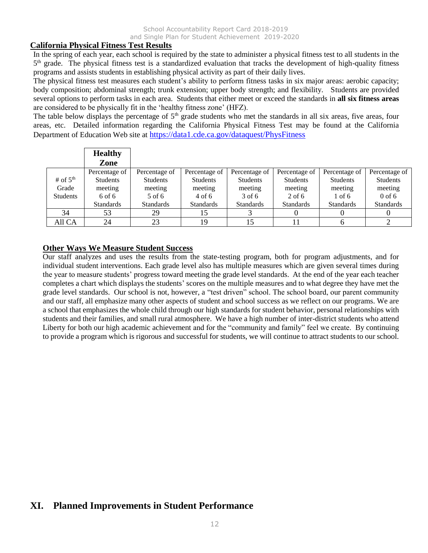#### **California Physical Fitness Test Results**

In the spring of each year, each school is required by the state to administer a physical fitness test to all students in the 5<sup>th</sup> grade. The physical fitness test is a standardized evaluation that tracks the development of high-quality fitness programs and assists students in establishing physical activity as part of their daily lives.

The physical fitness test measures each student's ability to perform fitness tasks in six major areas: aerobic capacity; body composition; abdominal strength; trunk extension; upper body strength; and flexibility. Students are provided several options to perform tasks in each area. Students that either meet or exceed the standards in **all six fitness areas**  are considered to be physically fit in the 'healthy fitness zone' (HFZ).

The table below displays the percentage of  $5<sup>th</sup>$  grade students who met the standards in all six areas, five areas, four areas, etc. Detailed information regarding the California Physical Fitness Test may be found at the California Department of Education Web site at https://data1.cde.ca.gov/dataquest/PhysFitness

|                 | <b>Healthy</b><br>Zone |                  |                  |                  |                  |                  |                  |
|-----------------|------------------------|------------------|------------------|------------------|------------------|------------------|------------------|
|                 | Percentage of          | Percentage of    | Percentage of    | Percentage of    | Percentage of    | Percentage of    | Percentage of    |
| # of $5th$      | <b>Students</b>        | <b>Students</b>  | <b>Students</b>  | <b>Students</b>  | <b>Students</b>  | <b>Students</b>  | <b>Students</b>  |
| Grade           | meeting                | meeting          | meeting          | meeting          | meeting          | meeting          | meeting          |
| <b>Students</b> | 6 of 6                 | 5 of 6           | 4 of 6           | 3 of 6           | $2$ of 6         | $1$ of 6         | $0$ of 6         |
|                 | <b>Standards</b>       | <b>Standards</b> | <b>Standards</b> | <b>Standards</b> | <b>Standards</b> | <b>Standards</b> | <b>Standards</b> |
| 34              | 53                     | 29               | 15               |                  |                  |                  |                  |
| All CA          | 24                     | 23               | 19               | 15               |                  |                  | ◠                |

#### **Other Ways We Measure Student Success**

Our staff analyzes and uses the results from the state-testing program, both for program adjustments, and for individual student interventions. Each grade level also has multiple measures which are given several times during the year to measure students' progress toward meeting the grade level standards. At the end of the year each teacher completes a chart which displays the students' scores on the multiple measures and to what degree they have met the grade level standards. Our school is not, however, a "test driven" school. The school board, our parent community and our staff, all emphasize many other aspects of student and school success as we reflect on our programs. We are a school that emphasizes the whole child through our high standards for student behavior, personal relationships with students and their families, and small rural atmosphere. We have a high number of inter-district students who attend Liberty for both our high academic achievement and for the "community and family" feel we create. By continuing to provide a program which is rigorous and successful for students, we will continue to attract students to our school.

## **XI. Planned Improvements in Student Performance**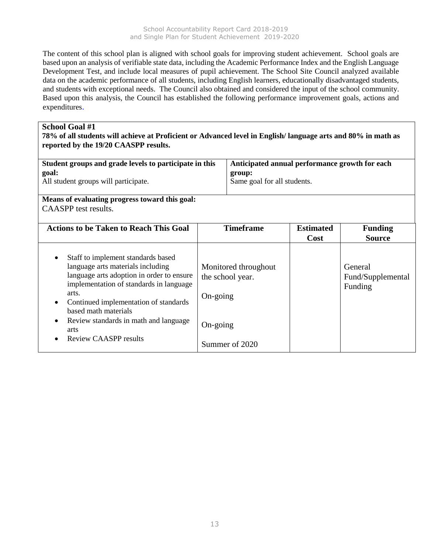The content of this school plan is aligned with school goals for improving student achievement. School goals are based upon an analysis of verifiable state data, including the Academic Performance Index and the English Language Development Test, and include local measures of pupil achievement. The School Site Council analyzed available data on the academic performance of all students, including English learners, educationally disadvantaged students, and students with exceptional needs. The Council also obtained and considered the input of the school community. Based upon this analysis, the Council has established the following performance improvement goals, actions and expenditures.

#### **School Goal #1**

**78% of all students will achieve at Proficient or Advanced level in English/ language arts and 80% in math as reported by the 19/20 CAASPP results.**

| Student groups and grade levels to participate in this | Anticipated annual performance growth for each |
|--------------------------------------------------------|------------------------------------------------|
| goal:                                                  | group:                                         |
| All student groups will participate.                   | Same goal for all students.                    |

**Means of evaluating progress toward this goal:** CAASPP test results.

| <b>Actions to be Taken to Reach This Goal</b>                                                                                                                                                                                                                                                                                                                     | <b>Timeframe</b>                                                                                     | <b>Estimated</b><br>Cost | <b>Funding</b><br><b>Source</b>         |
|-------------------------------------------------------------------------------------------------------------------------------------------------------------------------------------------------------------------------------------------------------------------------------------------------------------------------------------------------------------------|------------------------------------------------------------------------------------------------------|--------------------------|-----------------------------------------|
| Staff to implement standards based<br>$\bullet$<br>language arts materials including<br>language arts adoption in order to ensure<br>implementation of standards in language<br>arts.<br>Continued implementation of standards<br>$\bullet$<br>based math materials<br>Review standards in math and language<br>$\bullet$<br>arts<br><b>Review CAASPP results</b> | Monitored throughout<br>the school year.<br>$On\text{-going}$<br>$On\text{-going}$<br>Summer of 2020 |                          | General<br>Fund/Supplemental<br>Funding |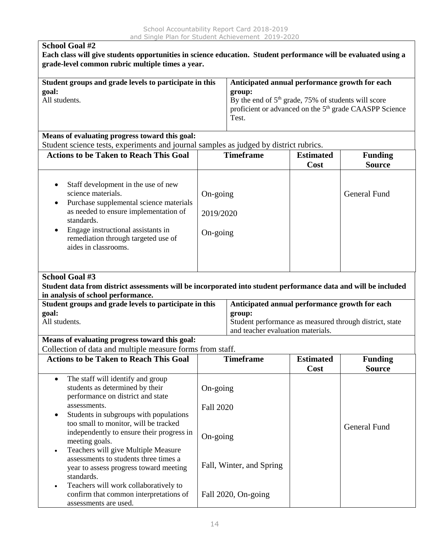| <b>School Goal #2</b><br>Each class will give students opportunities in science education. Student performance will be evaluated using a<br>grade-level common rubric multiple times a year.                                                                                                    |                                   |                                                |                                                                                                                                                                                         |                                 |  |  |
|-------------------------------------------------------------------------------------------------------------------------------------------------------------------------------------------------------------------------------------------------------------------------------------------------|-----------------------------------|------------------------------------------------|-----------------------------------------------------------------------------------------------------------------------------------------------------------------------------------------|---------------------------------|--|--|
| Student groups and grade levels to participate in this<br>goal:<br>group:<br>All students.<br>Test.                                                                                                                                                                                             |                                   |                                                | Anticipated annual performance growth for each<br>By the end of 5 <sup>th</sup> grade, 75% of students will score<br>proficient or advanced on the 5 <sup>th</sup> grade CAASPP Science |                                 |  |  |
| Means of evaluating progress toward this goal:                                                                                                                                                                                                                                                  |                                   |                                                |                                                                                                                                                                                         |                                 |  |  |
| Student science tests, experiments and journal samples as judged by district rubrics.                                                                                                                                                                                                           |                                   |                                                |                                                                                                                                                                                         |                                 |  |  |
| <b>Actions to be Taken to Reach This Goal</b>                                                                                                                                                                                                                                                   |                                   | <b>Timeframe</b>                               | <b>Estimated</b><br>Cost                                                                                                                                                                | <b>Funding</b><br><b>Source</b> |  |  |
| Staff development in the use of new<br>$\bullet$<br>science materials.<br>Purchase supplemental science materials<br>$\bullet$<br>as needed to ensure implementation of<br>standards.<br>Engage instructional assistants in<br>٠<br>remediation through targeted use of<br>aides in classrooms. | On-going<br>2019/2020<br>On-going |                                                |                                                                                                                                                                                         | <b>General Fund</b>             |  |  |
| School Goal #3<br>Student data from district assessments will be incorporated into student performance data and will be included<br>in analysis of school performance.<br>Student groups and grade levels to participate in this                                                                |                                   | Anticipated annual performance growth for each |                                                                                                                                                                                         |                                 |  |  |
| goal:<br>All students.                                                                                                                                                                                                                                                                          |                                   | group:<br>and teacher evaluation materials.    | Student performance as measured through district, state                                                                                                                                 |                                 |  |  |
| Means of evaluating progress toward this goal:<br>Collection of data and multiple measure forms from staff.                                                                                                                                                                                     |                                   |                                                |                                                                                                                                                                                         |                                 |  |  |
| <b>Actions to be Taken to Reach This Goal</b>                                                                                                                                                                                                                                                   |                                   | <b>Timeframe</b>                               | <b>Estimated</b><br>Cost                                                                                                                                                                | <b>Funding</b><br><b>Source</b> |  |  |
| The staff will identify and group<br>$\bullet$<br>students as determined by their<br>performance on district and state<br>assessments.<br>Students in subgroups with populations<br>$\bullet$                                                                                                   | On-going<br><b>Fall 2020</b>      |                                                |                                                                                                                                                                                         |                                 |  |  |
| too small to monitor, will be tracked<br>independently to ensure their progress in<br>meeting goals.<br>Teachers will give Multiple Measure                                                                                                                                                     | On-going                          |                                                |                                                                                                                                                                                         | <b>General Fund</b>             |  |  |
| $\bullet$<br>assessments to students three times a<br>year to assess progress toward meeting<br>standards.                                                                                                                                                                                      | Fall, Winter, and Spring          |                                                |                                                                                                                                                                                         |                                 |  |  |
| Teachers will work collaboratively to<br>$\bullet$<br>confirm that common interpretations of<br>assessments are used.                                                                                                                                                                           |                                   | Fall 2020, On-going                            |                                                                                                                                                                                         |                                 |  |  |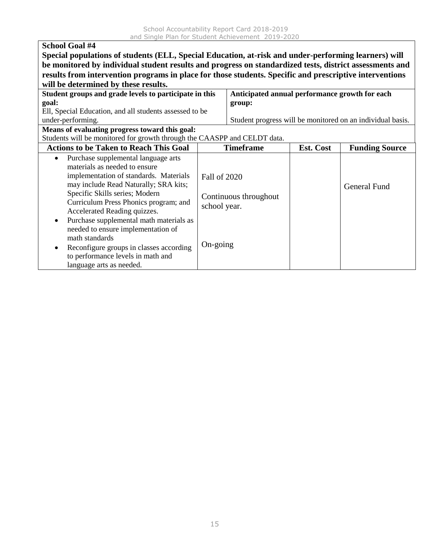| <b>School Goal #4</b>                                                                                   |                                                                                                         |                                                |           |                                                            |  |  |  |  |
|---------------------------------------------------------------------------------------------------------|---------------------------------------------------------------------------------------------------------|------------------------------------------------|-----------|------------------------------------------------------------|--|--|--|--|
| Special populations of students (ELL, Special Education, at-risk and under-performing learners) will    |                                                                                                         |                                                |           |                                                            |  |  |  |  |
| be monitored by individual student results and progress on standardized tests, district assessments and |                                                                                                         |                                                |           |                                                            |  |  |  |  |
|                                                                                                         | results from intervention programs in place for those students. Specific and prescriptive interventions |                                                |           |                                                            |  |  |  |  |
| will be determined by these results.                                                                    |                                                                                                         |                                                |           |                                                            |  |  |  |  |
| Student groups and grade levels to participate in this                                                  |                                                                                                         | Anticipated annual performance growth for each |           |                                                            |  |  |  |  |
| goal:                                                                                                   |                                                                                                         | group:                                         |           |                                                            |  |  |  |  |
| Ell, Special Education, and all students assessed to be                                                 |                                                                                                         |                                                |           |                                                            |  |  |  |  |
| under-performing.                                                                                       |                                                                                                         |                                                |           | Student progress will be monitored on an individual basis. |  |  |  |  |
| Means of evaluating progress toward this goal:                                                          |                                                                                                         |                                                |           |                                                            |  |  |  |  |
| Students will be monitored for growth through the CAASPP and CELDT data.                                |                                                                                                         |                                                |           |                                                            |  |  |  |  |
| <b>Actions to be Taken to Reach This Goal</b>                                                           |                                                                                                         | <b>Timeframe</b>                               | Est. Cost | <b>Funding Source</b>                                      |  |  |  |  |
| Purchase supplemental language arts<br>$\bullet$                                                        |                                                                                                         |                                                |           |                                                            |  |  |  |  |
| materials as needed to ensure                                                                           |                                                                                                         |                                                |           |                                                            |  |  |  |  |
| implementation of standards. Materials                                                                  | <b>Fall of 2020</b>                                                                                     |                                                |           |                                                            |  |  |  |  |
| may include Read Naturally; SRA kits;                                                                   |                                                                                                         |                                                |           | <b>General Fund</b>                                        |  |  |  |  |
| Specific Skills series; Modern                                                                          |                                                                                                         | Continuous throughout                          |           |                                                            |  |  |  |  |
| Curriculum Press Phonics program; and                                                                   | school year.                                                                                            |                                                |           |                                                            |  |  |  |  |
| Accelerated Reading quizzes.                                                                            |                                                                                                         |                                                |           |                                                            |  |  |  |  |
| Purchase supplemental math materials as                                                                 |                                                                                                         |                                                |           |                                                            |  |  |  |  |
| needed to ensure implementation of                                                                      |                                                                                                         |                                                |           |                                                            |  |  |  |  |
| math standards                                                                                          |                                                                                                         |                                                |           |                                                            |  |  |  |  |
| Reconfigure groups in classes according<br>$\bullet$                                                    | On-going                                                                                                |                                                |           |                                                            |  |  |  |  |
| to performance levels in math and                                                                       |                                                                                                         |                                                |           |                                                            |  |  |  |  |
| language arts as needed.                                                                                |                                                                                                         |                                                |           |                                                            |  |  |  |  |